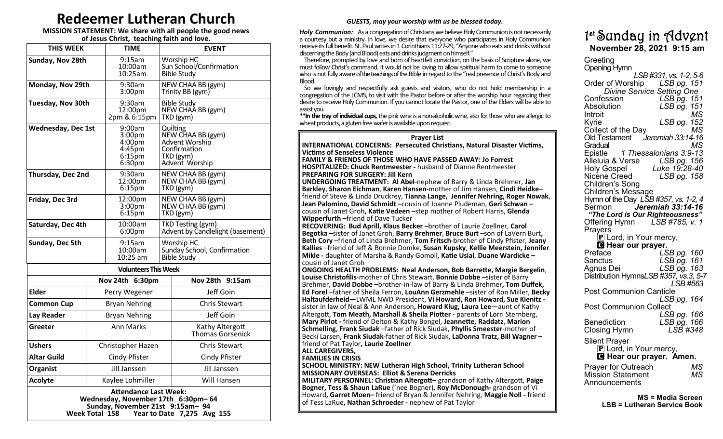# **Redeemer Lutheran Church**

**MISSION STATEMENT: We share with all people the good news of Jesus Christ, teaching faith and love.**

| 9:15am<br>Sunday, Nov 28th<br><b>Worship HC</b><br>Sun School/Confirmation<br>10:00am<br>10:25am<br>Bible Study<br>Monday, Nov 29th<br>9:30am<br>NEW CHAA BB (gym)<br>Trinity BB (gym)<br>3:00pm<br>9:30am<br><b>Tuesday, Nov 30th</b><br><b>Bible Study</b><br>NEW CHAA BB (gym)<br>12:00pm<br>2pm 86:15pm<br>TKD (gym)<br>9:00am<br><b>Wednesday, Dec 1st</b><br>Quilting<br>NEW CHAA BB (gym)<br>3:00 <sub>pm</sub><br>Advent Worship<br>4:00 <sub>p</sub> m<br>Confirmation<br>$4:45$ pm<br>$6:15$ pm<br>TKD (gym)<br>Advent Worship<br>6:30 <sub>pm</sub><br>9:30am<br>NEW CHAA BB (gym)<br>Thursday, Dec 2nd<br>12:00pm<br>NEW CHAA BB (gym)<br>6:15 <sub>pm</sub><br>TKD (gym)<br>NEW CHAA BB (gym)<br>Friday, Dec 3rd<br>12:00pm<br>NEW CHAA BB (gym)<br>3:00 <sub>pm</sub><br>$6:15$ pm<br>TKD (gym)<br>Saturday, Dec 4th<br>10:00am<br>TKD Testing (gym)<br>Advent by Candlelight (basement)<br>6:00 <sub>pm</sub><br>Sunday, Dec 5th<br>9:15am<br>Worship HC<br>10:00am<br>Sunday School, Confirmation<br>10:25 am<br><b>Bible Study</b><br><b>Volunteers This Week</b><br>Nov 28th 9:15am<br>Nov 24th 6:30pm<br>Jeff Goin<br><b>Elder</b><br>Perry Wegener<br><b>Chris Stewart</b><br><b>Common Cup</b><br><b>Bryan Nehring</b><br>Jeff Goin<br>Lay Reader<br><b>Bryan Nehring</b><br><b>Ann Marks</b><br>Greeter<br>Kathy Altergott<br><b>Thomas Gorsenick</b><br><b>Chris Stewart</b><br><b>Ushers</b><br>Christopher Hazen<br><b>Altar Guild</b><br>Cindy Pfister<br>Cindy Pfister<br>Jill Janssen<br>Jill Janssen<br>Organist<br>Will Hansen<br><b>Acolyte</b><br>Kaylee Lohmiller | <b>THIS WEEK</b> |  | <b>TIME</b> |  | <b>EVENT</b> |  |  |
|----------------------------------------------------------------------------------------------------------------------------------------------------------------------------------------------------------------------------------------------------------------------------------------------------------------------------------------------------------------------------------------------------------------------------------------------------------------------------------------------------------------------------------------------------------------------------------------------------------------------------------------------------------------------------------------------------------------------------------------------------------------------------------------------------------------------------------------------------------------------------------------------------------------------------------------------------------------------------------------------------------------------------------------------------------------------------------------------------------------------------------------------------------------------------------------------------------------------------------------------------------------------------------------------------------------------------------------------------------------------------------------------------------------------------------------------------------------------------------------------------------------------------------------------------------------------------------------------------|------------------|--|-------------|--|--------------|--|--|
|                                                                                                                                                                                                                                                                                                                                                                                                                                                                                                                                                                                                                                                                                                                                                                                                                                                                                                                                                                                                                                                                                                                                                                                                                                                                                                                                                                                                                                                                                                                                                                                                    |                  |  |             |  |              |  |  |
|                                                                                                                                                                                                                                                                                                                                                                                                                                                                                                                                                                                                                                                                                                                                                                                                                                                                                                                                                                                                                                                                                                                                                                                                                                                                                                                                                                                                                                                                                                                                                                                                    |                  |  |             |  |              |  |  |
|                                                                                                                                                                                                                                                                                                                                                                                                                                                                                                                                                                                                                                                                                                                                                                                                                                                                                                                                                                                                                                                                                                                                                                                                                                                                                                                                                                                                                                                                                                                                                                                                    |                  |  |             |  |              |  |  |
|                                                                                                                                                                                                                                                                                                                                                                                                                                                                                                                                                                                                                                                                                                                                                                                                                                                                                                                                                                                                                                                                                                                                                                                                                                                                                                                                                                                                                                                                                                                                                                                                    |                  |  |             |  |              |  |  |
|                                                                                                                                                                                                                                                                                                                                                                                                                                                                                                                                                                                                                                                                                                                                                                                                                                                                                                                                                                                                                                                                                                                                                                                                                                                                                                                                                                                                                                                                                                                                                                                                    |                  |  |             |  |              |  |  |
|                                                                                                                                                                                                                                                                                                                                                                                                                                                                                                                                                                                                                                                                                                                                                                                                                                                                                                                                                                                                                                                                                                                                                                                                                                                                                                                                                                                                                                                                                                                                                                                                    |                  |  |             |  |              |  |  |
|                                                                                                                                                                                                                                                                                                                                                                                                                                                                                                                                                                                                                                                                                                                                                                                                                                                                                                                                                                                                                                                                                                                                                                                                                                                                                                                                                                                                                                                                                                                                                                                                    |                  |  |             |  |              |  |  |
|                                                                                                                                                                                                                                                                                                                                                                                                                                                                                                                                                                                                                                                                                                                                                                                                                                                                                                                                                                                                                                                                                                                                                                                                                                                                                                                                                                                                                                                                                                                                                                                                    |                  |  |             |  |              |  |  |
|                                                                                                                                                                                                                                                                                                                                                                                                                                                                                                                                                                                                                                                                                                                                                                                                                                                                                                                                                                                                                                                                                                                                                                                                                                                                                                                                                                                                                                                                                                                                                                                                    |                  |  |             |  |              |  |  |
|                                                                                                                                                                                                                                                                                                                                                                                                                                                                                                                                                                                                                                                                                                                                                                                                                                                                                                                                                                                                                                                                                                                                                                                                                                                                                                                                                                                                                                                                                                                                                                                                    |                  |  |             |  |              |  |  |
|                                                                                                                                                                                                                                                                                                                                                                                                                                                                                                                                                                                                                                                                                                                                                                                                                                                                                                                                                                                                                                                                                                                                                                                                                                                                                                                                                                                                                                                                                                                                                                                                    |                  |  |             |  |              |  |  |
|                                                                                                                                                                                                                                                                                                                                                                                                                                                                                                                                                                                                                                                                                                                                                                                                                                                                                                                                                                                                                                                                                                                                                                                                                                                                                                                                                                                                                                                                                                                                                                                                    |                  |  |             |  |              |  |  |
|                                                                                                                                                                                                                                                                                                                                                                                                                                                                                                                                                                                                                                                                                                                                                                                                                                                                                                                                                                                                                                                                                                                                                                                                                                                                                                                                                                                                                                                                                                                                                                                                    |                  |  |             |  |              |  |  |
|                                                                                                                                                                                                                                                                                                                                                                                                                                                                                                                                                                                                                                                                                                                                                                                                                                                                                                                                                                                                                                                                                                                                                                                                                                                                                                                                                                                                                                                                                                                                                                                                    |                  |  |             |  |              |  |  |
|                                                                                                                                                                                                                                                                                                                                                                                                                                                                                                                                                                                                                                                                                                                                                                                                                                                                                                                                                                                                                                                                                                                                                                                                                                                                                                                                                                                                                                                                                                                                                                                                    |                  |  |             |  |              |  |  |
|                                                                                                                                                                                                                                                                                                                                                                                                                                                                                                                                                                                                                                                                                                                                                                                                                                                                                                                                                                                                                                                                                                                                                                                                                                                                                                                                                                                                                                                                                                                                                                                                    |                  |  |             |  |              |  |  |
|                                                                                                                                                                                                                                                                                                                                                                                                                                                                                                                                                                                                                                                                                                                                                                                                                                                                                                                                                                                                                                                                                                                                                                                                                                                                                                                                                                                                                                                                                                                                                                                                    |                  |  |             |  |              |  |  |
|                                                                                                                                                                                                                                                                                                                                                                                                                                                                                                                                                                                                                                                                                                                                                                                                                                                                                                                                                                                                                                                                                                                                                                                                                                                                                                                                                                                                                                                                                                                                                                                                    |                  |  |             |  |              |  |  |

**Attendance Last Week: Wednesday, November 17th 6:30pm– 64 Sunday, November 21st 9:15am– 94 Year to Date 7,275 Avg 155** 

### *GUESTS, may your worship with us be blessed today.*

*Holy Communion:* As a congregation of Christians we believe Holy Communion is not necessarily a courtesy but a ministry. In love, we desire that everyone who participates in Holy Communion receive its full benefit. St. Paul writes in 1 Corinthians 11:27-29, "Anyone who eats and drinks without discerning the Body (and Blood) eats and drinks judgment on himself."

 Therefore, prompted by love and born of heartfelt conviction, on the basis of Scripture alone, we must follow Christ's command. It would not be loving to allow spiritual harm to come to someone who is not fully aware of the teachings of the Bible in regard to the "real presence of Christ's Body and Blood.

 So we lovingly and respectfully ask guests and visitors, who do not hold membership in a congregation of the LCMS, to visit with the Pastor before or after the worship hour regarding their desire to receive Holy Communion. If you cannot locate the Pastor, one of the Elders will be able to assist you.

**\*\*In the tray of individual cups,** the pink wine is a non-alcoholic wine, also for those who are allergic to wheat products, a gluten free wafer is available upon request.

#### **Prayer List**

**INTERNATIONAL CONCERNS: Persecuted Christians, Natural Disaster Victims, Victims of Senseless Violence**

**FAMILY & FRIENDS OF THOSE WHO HAVE PASSED AWAY: Jo Forrest HOSPITALIZED: Chuck Rentmeester -** husband of Dianne Rentmeester **PREPARING FOR SURGERY: Jill Kern**

**UNDERGOING TREATMENT: Al Abel**-nephew of Barry & Linda Brehmer, **Jan Barkley**, **Sharon Eichman**, **Karen Hansen-**mother of Jim Hansen, **Cindi Heidke–** friend of Steve & Linda Druckrey, **Tianna Lange, Jennifer Nehring, Roger Nowak**, **Jean Palomino, David Schmidt –**cousin of Joanne Pludeman, **Geri Schwan –** cousin of Janet Groh**, Katie Vedeen –**step mother of Robert Harris, **Glenda Wipperfurth –**friend of Dave Tucker

**RECOVERING: Bud Aprill, Klaus Becker –**brother of Laurie Zoellner, **Carol Begotka –**sister of Janet Groh, **Barry Brehmer**, **Bruce Burt** –son of LaVern Burt**, Beth Cory** –friend of Linda Brehmer, **Tom Fritsch**-brother of Cindy Pfister, **Jeany Kallies** –friend of Jeff & Bonnie Domke, **Susan Kupsky**, **Kellie Meerstein, Jennifer Mikle -** daughter of Marsha & Randy Gomoll, **Katie Usial**, **Duane Wardicke –** cousin of Janet Groh

**ONGOING HEALTH PROBLEMS: Neal Anderson, Bob Barrette, Margie Bergelin**, **Louise Christofilis**-mother of Chris Stewart, **Bonnie Dobbe –**sister of Barry Brehmer, **David Dobbe –**brother-in-law of Barry & Linda Brehmer**, Tom Duffek, Ed Forel** –father of Sheila Ferron, **LouAnn Gerzmehle** –sister of Ron Miller, **Becky Haltaufderheid—**LWML NWD President, **Vi Howard, Ron Howard, Sue Kienitz**  sister in law of Neal & Ann Anderson**, Howard Klug, Laura Lee**—aunt of Kathy Altergott, **Tom Meath, Marshall & Sheila Piotter -** parents of Lorri Sternberg, **Mary Pirlot -** friend of Delton & Kathy Bongel, **Jeannette, Raddatz**, **Marion Schmelling**, **Frank Siudak** –father of Rick Siudak, **Phyllis Smeester**-mother of Becki Larsen, **Frank Siudak**-father of Rick Siudak, **LaDonna Tratz, Bill Wagner –** friend of Pat Taylor**, Laurie Zoellner**

### **ALL CAREGIVERS,**

**FAMILIES IN CRISIS**

**SCHOOL MINISTRY: NEW Lutheran High School, Trinity Lutheran School MISSIONARY OVERSEAS: Elliot & Serena Derricks MILITARY PERSONNEL: Christian Altergott–** grandson of Kathy Altergott, **Paige** 

**Bogner, Tess & Shaun LaRue** ('nee Bogner), **Roy McDonough-** grandson of Vi Howard**, Garret Moen–** friend of Bryan & Jennifer Nehring, **Maggie Noll -** friend of Tess LaRue**, Nathan Schroeder -** nephew of Pat Taylor

## 1 st Sunday in Advent **November 28, 2021 9:15 am**

### **Greeting** Opening Hymn *LSB #331, vs. 1-2, 5-6* **Order of Worship** *Divine Service Setting One*<br>**Confession** *LSB pg. 15* Confession *LSB pg. 151* Absolution *LSB pg. 151* Introit *MS* Kyrie *LSB pg. 152* **Collect of the Day<br>Old Testament** J Old Testament *Jeremiah 33:14-16* Gradual *MS* Epistle *1 Thessalonians 3:9-13* Alleluia & Verse<br>Holv Gospel Holy Gospel *Luke 19:28-40* Nicene Creed *LSB pg. 158* Children's Song Children's Message Hymn of the Day *LSB #357, vs. 1-2, 4* Sermon *Jeremiah 33:14-16 "The Lord is Our Righteousness"*  Offering Hymn *LSB #785, v. 1* Prayers  $\bar{P}$  Lord, in Your mercy, **C** Hear our prayer.<br>*LS* Preface *LSB pg. 160*  Sanctus *LSB pg. 161* LSB pg. 163 Distribution Hymns*LSB #357, vs.3, 5-7 LSB #563* Post Communion Canticle *LSB pg. 164* Post Communion Collect *LSB pg. 166* Benediction *LSB pg. 166* Closing Hymn *LSB #348* Silent Prayer **P** Lord, in Your mercy. C **Hear our prayer. Amen.** Prayer for Outreach *MS* **Mission Statement** Announcements

**MS = Media Screen LSB = Lutheran Service Book**